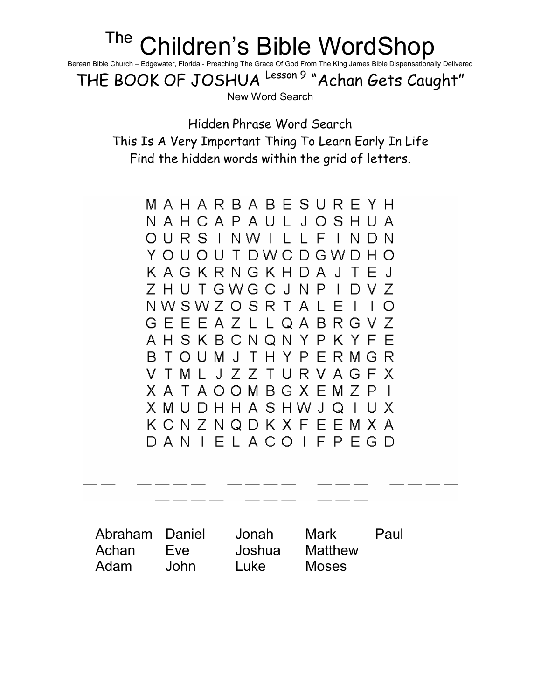## <sup>The</sup> Children's Bible WordShop

Berean Bible Church – Edgewater, Florida - Preaching The Grace Of God From The King James Bible Dispensationally Delivered

THE BOOK OF JOSHUA Lesson 9 "Achan Gets Caught"

New Word Search

Hidden Phrase Word Search This Is A Very Important Thing To Learn Early In Life Find the hidden words within the grid of letters.

MAHARBABESUREYH NAHCAPAULJOSHUA OURS INWILL FINDN YOUOUTDWCDGWDHO KAGKRNGKHDAJTEJ ZHUTGWGCJNPIDVZ NWSWZOSRTALEI  $\overline{1}$  O **GEEEAZLLQABRGVZ** AHSKBCNQNYPKYFE B T O U M J T H Y P E R M G R V T M L J Z Z T U R V A G F X XATAOOMBGXEMZPI X M U D H H A S H W J Q I U X KCNZNQDKXFEEMXA DANIELACOIFPEGD

Abraham Daniel Jonah Mark Paul Achan Eve Joshua Matthew Adam John Luke Moses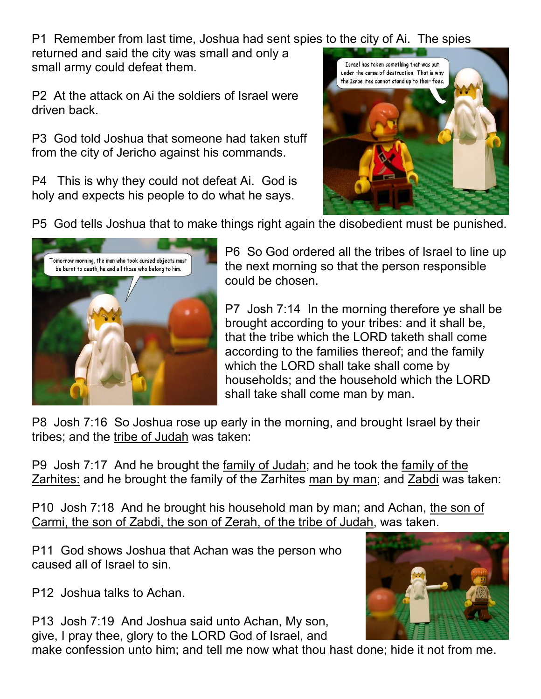P1 Remember from last time, Joshua had sent spies to the city of Ai. The spies

returned and said the city was small and only a small army could defeat them.

P2 At the attack on Ai the soldiers of Israel were driven back.

P3 God told Joshua that someone had taken stuff from the city of Jericho against his commands.

P4 This is why they could not defeat Ai. God is holy and expects his people to do what he says.



P5 God tells Joshua that to make things right again the disobedient must be punished.



P6 So God ordered all the tribes of Israel to line up the next morning so that the person responsible could be chosen.

P7 Josh 7:14 In the morning therefore ye shall be brought according to your tribes: and it shall be, that the tribe which the LORD taketh shall come according to the families thereof; and the family which the LORD shall take shall come by households; and the household which the LORD shall take shall come man by man.

P8 Josh 7:16 So Joshua rose up early in the morning, and brought Israel by their tribes; and the tribe of Judah was taken:

P9 Josh 7:17 And he brought the family of Judah; and he took the family of the Zarhites: and he brought the family of the Zarhites man by man; and Zabdi was taken:

P10 Josh 7:18 And he brought his household man by man; and Achan, the son of Carmi, the son of Zabdi, the son of Zerah, of the tribe of Judah, was taken.

P11 God shows Joshua that Achan was the person who caused all of Israel to sin.

P12 Joshua talks to Achan.

P13 Josh 7:19 And Joshua said unto Achan, My son, give, I pray thee, glory to the LORD God of Israel, and



make confession unto him; and tell me now what thou hast done; hide it not from me.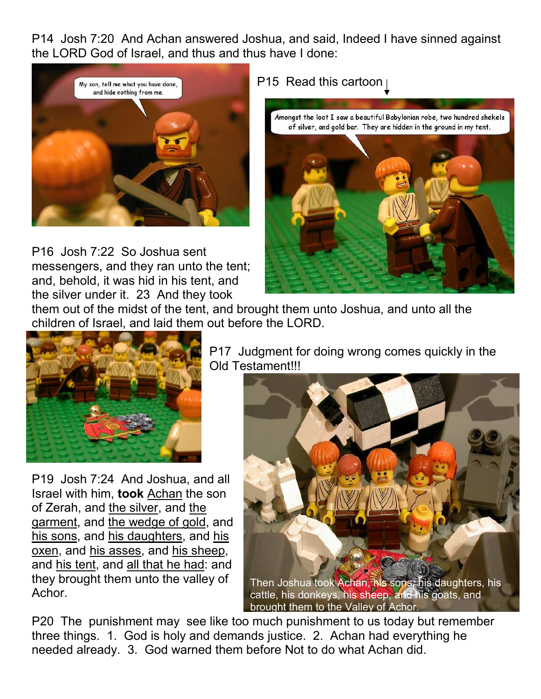P14 Josh 7:20 And Achan answered Joshua, and said, Indeed I have sinned against the LORD God of Israel, and thus and thus have I done:



P16 Josh 7:22 So Joshua sent messengers, and they ran unto the tent; and, behold, it was hid in his tent, and the silver under it. 23 And they took

## P15 Read this cartoon

Amongst the loot I saw a beautiful Babylonian robe, two hundred shekels of silver, and gold bar. They are hidden in the ground in my tent.



them out of the midst of the tent, and brought them unto Joshua, and unto all the children of Israel, and laid them out before the LORD.



P19 Josh 7:24 And Joshua, and all Israel with him, took Achan the son of Zerah, and the silver, and the garment, and the wedge of gold, and his sons, and his daughters, and his oxen, and his asses, and his sheep, and his tent, and all that he had: and they brought them unto the valley of Achor.

P17 Judgment for doing wrong comes quickly in the Old Testament!!!



P20 The punishment may see like too much punishment to us today but remember three things. 1. God is holy and demands justice. 2. Achan had everything he needed already. 3. God warned them before Not to do what Achan did.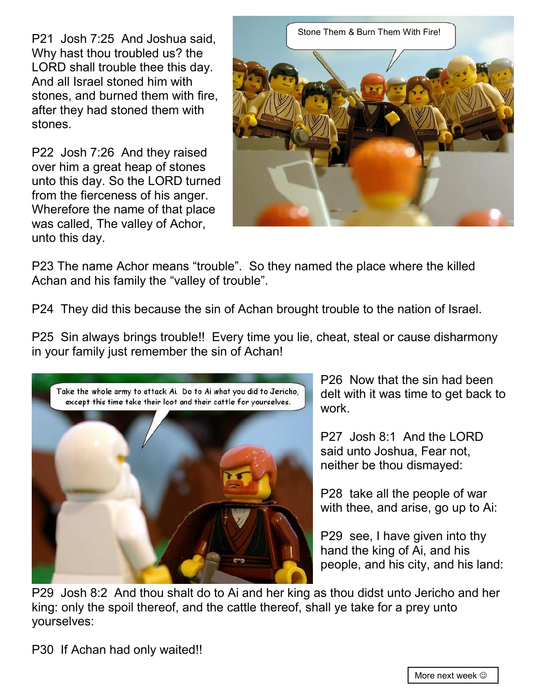P21 Josh 7:25 And Joshua said, Why hast thou troubled us? the LORD shall trouble thee this day. And all Israel stoned him with stones, and burned them with fire, after they had stoned them with stones.

P22 Josh 7:26 And they raised over him a great heap of stones unto this day. So the LORD turned from the fierceness of his anger. Wherefore the name of that place was called, The valley of Achor, unto this day.



P23 The name Achor means "trouble". So they named the place where the killed Achan and his family the "valley of trouble".

P24 They did this because the sin of Achan brought trouble to the nation of Israel.

P25 Sin always brings trouble!! Every time you lie, cheat, steal or cause disharmony in your family just remember the sin of Achan!



P26 Now that the sin had been delt with it was time to get back to work.

P27 Josh 8:1 And the LORD said unto Joshua, Fear not, neither be thou dismayed:

P28 take all the people of war with thee, and arise, go up to Ai:

P29 see, I have given into thy hand the king of Ai, and his people, and his city, and his land:

P29 Josh 8:2 And thou shalt do to Ai and her king as thou didst unto Jericho and her king: only the spoil thereof, and the cattle thereof, shall ye take for a prey unto yourselves: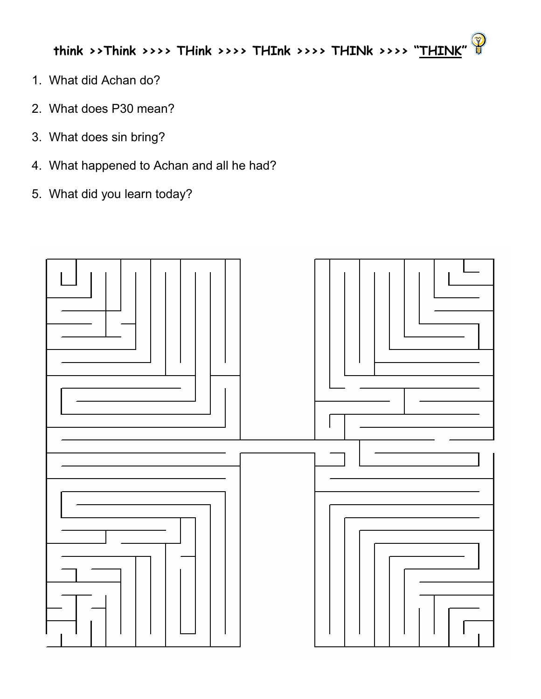$\mathbb{Q}$ think >>Think >>>> THink >>>> THInk >>>> THINk >>>> "THINK"

- 1. What did Achan do?
- 2. What does P30 mean?
- 3. What does sin bring?
- 4. What happened to Achan and all he had?
- 5. What did you learn today?